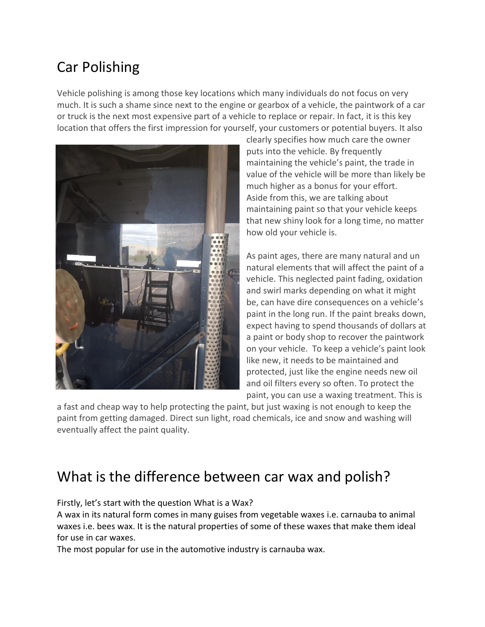# Car Polishing

Vehicle polishing is among those key locations which many individuals do not focus on very much. It is such a shame since next to the engine or gearbox of a vehicle, the paintwork of a car or truck is the next most expensive part of a vehicle to replace or repair. In fact, it is this key location that offers the first impression for yourself, your customers or potential buyers. It also



clearly specifies how much care the owner puts into the vehicle. By frequently maintaining the vehicle's paint, the trade in value of the vehicle will be more than likely be much higher as a bonus for your effort. Aside from this, we are talking about maintaining paint so that your vehicle keeps that new shiny look for a long time, no matter how old your vehicle is.

As paint ages, there are many natural and un natural elements that will affect the paint of a vehicle. This neglected paint fading, oxidation and swirl marks depending on what it might be, can have dire consequences on a vehicle's paint in the long run. If the paint breaks down, expect having to spend thousands of dollars at a paint or body shop to recover the paintwork on your vehicle. To keep a vehicle's paint look like new, it needs to be maintained and protected, just like the engine needs new oil and oil filters every so often. To protect the paint, you can use a waxing treatment. This is

a fast and cheap way to help protecting the paint, but just waxing is not enough to keep the paint from getting damaged. Direct sun light, road chemicals, ice and snow and washing will eventually affect the paint quality.

## What is the difference between car wax and polish?

Firstly, let's start with the question What is a Wax?

A wax in its natural form comes in many guises from vegetable waxes i.e. carnauba to animal waxes i.e. bees wax. It is the natural properties of some of these waxes that make them ideal for use in car waxes.

The most popular for use in the automotive industry is carnauba wax.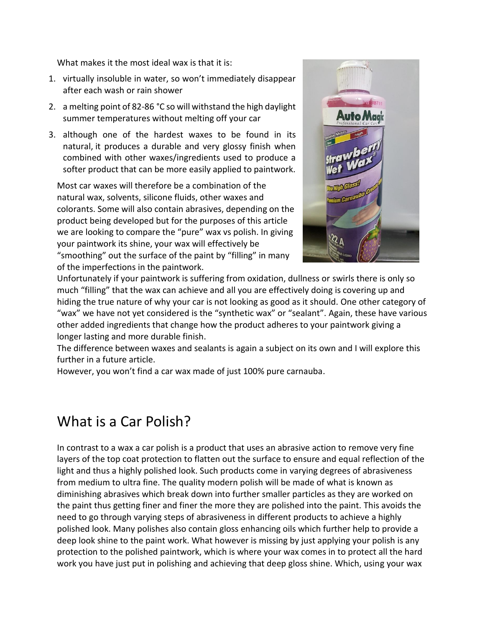What makes it the most ideal wax is that it is:

- 1. virtually insoluble in water, so won't immediately disappear after each wash or rain shower
- 2. a melting point of 82-86 °C so will withstand the high daylight summer temperatures without melting off your car
- 3. although one of the hardest waxes to be found in its natural, it produces a durable and very glossy finish when combined with other waxes/ingredients used to produce a softer product that can be more easily applied to paintwork.

Most car waxes will therefore be a combination of the natural wax, solvents, silicone fluids, other waxes and colorants. Some will also contain abrasives, depending on the product being developed but for the purposes of this article we are looking to compare the "pure" wax vs polish. In giving your paintwork its shine, your wax will effectively be "smoothing" out the surface of the paint by "filling" in many of the imperfections in the paintwork.



Unfortunately if your paintwork is suffering from oxidation, dullness or [swirls](http://www.performancemotorcare.com/blog/5-best-car-wash-mitt-choices-help-keep-motor-swirl-free/) there is only so much "filling" that the wax can achieve and all you are effectively doing is covering up and hiding the true nature of why your car is not looking as good as it should. One other category of "wax" we have not yet considered is the "synthetic wax" or "sealant". Again, these have various other added ingredients that change how the product adheres to your paintwork giving a longer lasting and more durable finish.

The difference between waxes and sealants is again a subject on its own and I will explore this further in a future article.

However, you won't find a car wax made of just 100% pure carnauba.

#### What is a Car Polish?

In contrast to a wax a car polish is a product that uses an abrasive action to remove very fine layers of the top coat protection to flatten out the surface to ensure and equal reflection of the light and thus a highly polished look. Such products come in varying degrees of abrasiveness from medium to ultra fine. The quality modern polish will be made of what is known as diminishing abrasives which break down into further smaller particles as they are worked on the paint thus getting finer and finer the more they are polished into the paint. This avoids the need to go through varying steps of abrasiveness in different products to achieve a highly polished look. Many polishes also contain gloss enhancing oils which further help to provide a deep look shine to the paint work. What however is missing by just applying your polish is any protection to the polished paintwork, which is where your wax comes in to protect all the hard work you have just put in polishing and achieving that deep gloss shine. Which, using your wax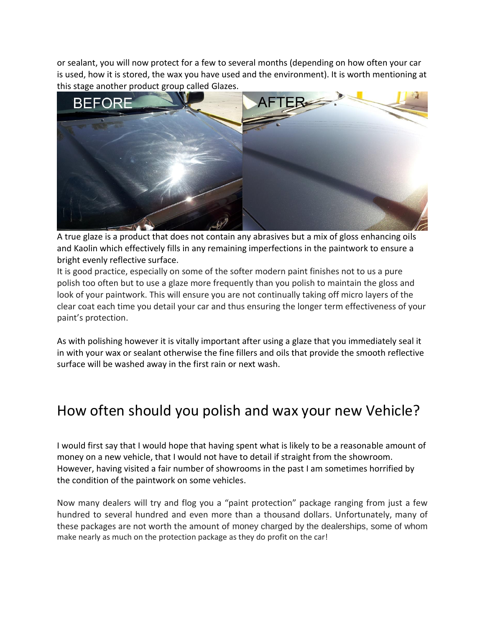or sealant, you will now protect for a few to several months (depending on how often your car is used, how it is stored, the wax you have used and the environment). It is worth mentioning at this stage another product group called Glazes.



[A true glaze](http://www.performancemotorcare.com/blog/poorboys-black-hole-show-glaze-dark-cars/) is a product that does not contain any abrasives but a mix of gloss enhancing oils and Kaolin which effectively fills in any remaining imperfections in the paintwork to ensure a bright evenly reflective surface.

It is good practice, especially on some of the softer modern paint finishes not to us a pure polish too often but to use a glaze more frequently than you polish to maintain the gloss and look of your paintwork. This will ensure you are not continually taking off micro layers of the clear coat each time you detail your car and thus ensuring the longer term effectiveness of your paint's protection.

As with polishing however it is vitally important after using a glaze that you immediately seal it in with your wax or sealant otherwise the fine fillers and oils that provide the smooth reflective surface will be washed away in the first rain or next wash.

#### How often should you polish and wax your new Vehicle?

I would first say that I would hope that having spent what is likely to be a reasonable amount of money on a new vehicle, that I would not have to detail if straight from the showroom. However, having visited a fair number of showrooms in the past I am sometimes horrified by the condition of the paintwork on some vehicles.

Now many dealers will try and flog you a "paint protection" package ranging from just a few hundred to several hundred and even more than a thousand dollars. Unfortunately, many of these packages are not worth the amount of money charged by the dealerships, some of whom make nearly as much on the protection package as they do profit on the car!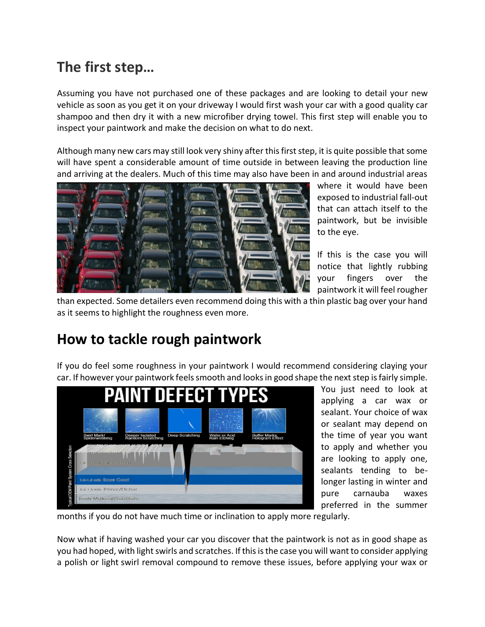# **The first step…**

Assuming you have not purchased one of these packages and are looking to detail your new vehicle as soon as you get it on your driveway I would first wash your car with a good [quality car](http://www.performancemotorcare.com/acatalog/Shampoos_and_Conditioners.html)  [shampoo](http://www.performancemotorcare.com/acatalog/Shampoos_and_Conditioners.html) and then dry it with a new microfiber drying towel. This first step will enable you to inspect your paintwork and make the decision on what to do next.

Although many new cars may still look very shiny after this first step, it is quite possible that some will have spent a considerable amount of time outside in between leaving the production line and arriving at the dealers. Much of this time may also have been in and around industrial areas



where it would have been exposed to industrial fall-out that can attach itself to the paintwork, but be invisible to the eye.

If this is the case you will notice that lightly rubbing your fingers over the paintwork it will feel rougher

than expected. Some detailers even recommend doing this with a thin plastic bag over your hand as it seems to highlight the roughness even more.

## **How to tackle rough paintwork**

If you do feel some roughness in your paintwork I would recommend considering claying your car. If however your paintwork feels smooth and looks in good shape the next step is fairly simple.



You just need to look at applying a car wax or sealant. Your choice of wax or sealant may depend on the time of year you want to apply and whether you are looking to apply one, sealants tending to belonger lasting in winter and pure carnauba waxes preferred in the summer

months if you do not have much time or inclination to apply more regularly.

Now what if having washed your car you discover that the paintwork is not as in good shape as you had hoped, with light swirls and scratches. If this is the case you will want to consider applying a polish or light [swirl removal compound](http://www.performancemotorcare.com/acatalog/Swirl_Removers.html) to remove these issues, before applying your wax or